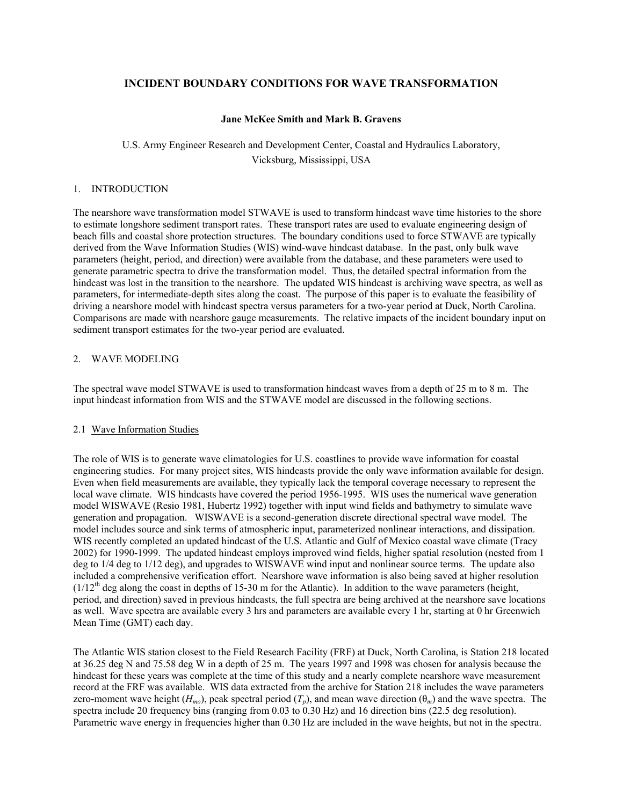# **INCIDENT BOUNDARY CONDITIONS FOR WAVE TRANSFORMATION**

### **Jane McKee Smith and Mark B. Gravens**

# U.S. Army Engineer Research and Development Center, Coastal and Hydraulics Laboratory, Vicksburg, Mississippi, USA

### 1. INTRODUCTION

The nearshore wave transformation model STWAVE is used to transform hindcast wave time histories to the shore to estimate longshore sediment transport rates. These transport rates are used to evaluate engineering design of beach fills and coastal shore protection structures. The boundary conditions used to force STWAVE are typically derived from the Wave Information Studies (WIS) wind-wave hindcast database. In the past, only bulk wave parameters (height, period, and direction) were available from the database, and these parameters were used to generate parametric spectra to drive the transformation model. Thus, the detailed spectral information from the hindcast was lost in the transition to the nearshore. The updated WIS hindcast is archiving wave spectra, as well as parameters, for intermediate-depth sites along the coast. The purpose of this paper is to evaluate the feasibility of driving a nearshore model with hindcast spectra versus parameters for a two-year period at Duck, North Carolina. Comparisons are made with nearshore gauge measurements. The relative impacts of the incident boundary input on sediment transport estimates for the two-year period are evaluated.

### 2. WAVE MODELING

The spectral wave model STWAVE is used to transformation hindcast waves from a depth of 25 m to 8 m. The input hindcast information from WIS and the STWAVE model are discussed in the following sections.

### 2.1 Wave Information Studies

The role of WIS is to generate wave climatologies for U.S. coastlines to provide wave information for coastal engineering studies. For many project sites, WIS hindcasts provide the only wave information available for design. Even when field measurements are available, they typically lack the temporal coverage necessary to represent the local wave climate. WIS hindcasts have covered the period 1956-1995. WIS uses the numerical wave generation model WISWAVE (Resio 1981, Hubertz 1992) together with input wind fields and bathymetry to simulate wave generation and propagation. WISWAVE is a second-generation discrete directional spectral wave model. The model includes source and sink terms of atmospheric input, parameterized nonlinear interactions, and dissipation. WIS recently completed an updated hindcast of the U.S. Atlantic and Gulf of Mexico coastal wave climate (Tracy 2002) for 1990-1999. The updated hindcast employs improved wind fields, higher spatial resolution (nested from 1 deg to  $1/4$  deg to  $1/12$  deg), and upgrades to WISWAVE wind input and nonlinear source terms. The update also included a comprehensive verification effort. Nearshore wave information is also being saved at higher resolution  $(1/12<sup>th</sup>$  deg along the coast in depths of 15-30 m for the Atlantic). In addition to the wave parameters (height, period, and direction) saved in previous hindcasts, the full spectra are being archived at the nearshore save locations as well. Wave spectra are available every 3 hrs and parameters are available every 1 hr, starting at 0 hr Greenwich Mean Time (GMT) each day.

The Atlantic WIS station closest to the Field Research Facility (FRF) at Duck, North Carolina, is Station 218 located at 36.25 deg N and 75.58 deg W in a depth of 25 m. The years 1997 and 1998 was chosen for analysis because the hindcast for these years was complete at the time of this study and a nearly complete nearshore wave measurement record at the FRF was available. WIS data extracted from the archive for Station 218 includes the wave parameters zero-moment wave height ( $H_{mo}$ ), peak spectral period ( $T_p$ ), and mean wave direction ( $\theta_m$ ) and the wave spectra. The spectra include 20 frequency bins (ranging from 0.03 to 0.30 Hz) and 16 direction bins (22.5 deg resolution). Parametric wave energy in frequencies higher than 0.30 Hz are included in the wave heights, but not in the spectra.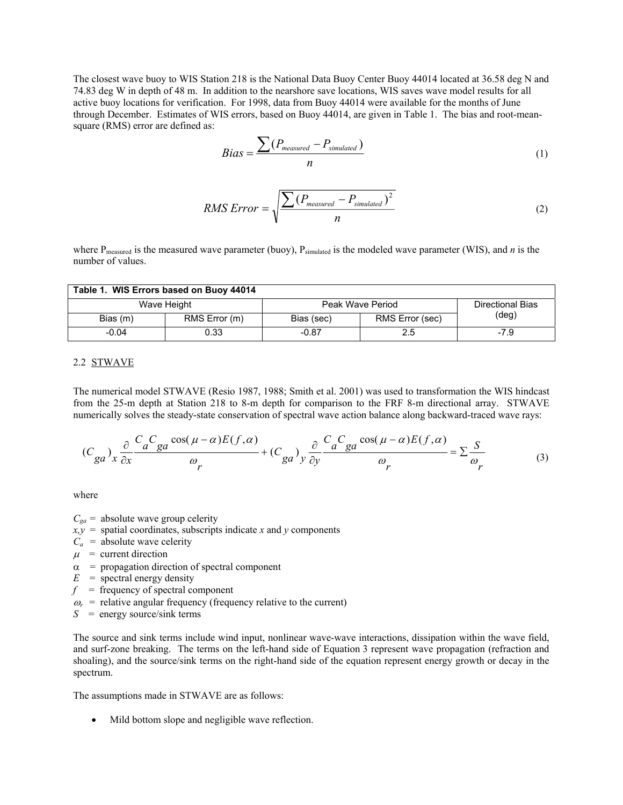The closest wave buoy to WIS Station 218 is the National Data Buoy Center Buoy 44014 located at 36.58 deg N and 74.83 deg W in depth of 48 m. In addition to the nearshore save locations, WIS saves wave model results for all active buoy locations for verification. For 1998, data from Buoy 44014 were available for the months of June through December. Estimates of WIS errors, based on Buoy 44014, are given in Table 1. The bias and root-meansquare (RMS) error are defined as:

$$
Bias = \frac{\sum (P_{measured} - P_{simulated})}{n}
$$
 (1)

$$
RMS Error = \sqrt{\frac{\sum (P_{measured} - P_{simulated})^2}{n}}
$$
 (2)

where P<sub>measured</sub> is the measured wave parameter (buoy), P<sub>simulated</sub> is the modeled wave parameter (WIS), and *n* is the number of values.

| Table 1. WIS Errors based on Buoy 44014 |               |                  |                 |                         |  |  |  |  |
|-----------------------------------------|---------------|------------------|-----------------|-------------------------|--|--|--|--|
| Wave Height                             |               | Peak Wave Period |                 | <b>Directional Bias</b> |  |  |  |  |
| Bias (m)                                | RMS Error (m) | Bias (sec)       | RMS Error (sec) | (deg)                   |  |  |  |  |
| $-0.04$                                 | 0.33          | $-0.87$          | 2.5             | $-7.9$                  |  |  |  |  |

### 2.2 STWAVE

The numerical model STWAVE (Resio 1987, 1988; Smith et al. 2001) was used to transformation the WIS hindcast from the 25-m depth at Station 218 to 8-m depth for comparison to the FRF 8-m directional array. STWAVE numerically solves the steady-state conservation of spectral wave action balance along backward-traced wave rays:

$$
(C_{ga})_x \frac{\partial}{\partial x} \frac{C_a C_{ga} \cos(\mu - \alpha) E(f, \alpha)}{\omega_r} + (C_{ga})_y \frac{\partial}{\partial y} \frac{C_a C_{ga} \cos(\mu - \alpha) E(f, \alpha)}{\omega_r} = \sum \frac{S}{\omega_r}
$$
(3)

where

- $C_{ga}$  = absolute wave group celerity
- $x, y$  = spatial coordinates, subscripts indicate *x* and *y* components
- $C_a$  = absolute wave celerity
- $\mu$  = current direction
- $\alpha$  = propagation direction of spectral component
- $E =$  spectral energy density
- $f =$  frequency of spectral component
- $\omega_r$  = relative angular frequency (frequency relative to the current)
- *S* = energy source/sink terms

The source and sink terms include wind input, nonlinear wave-wave interactions, dissipation within the wave field, and surf-zone breaking. The terms on the left-hand side of Equation 3 represent wave propagation (refraction and shoaling), and the source/sink terms on the right-hand side of the equation represent energy growth or decay in the spectrum.

The assumptions made in STWAVE are as follows:

• Mild bottom slope and negligible wave reflection.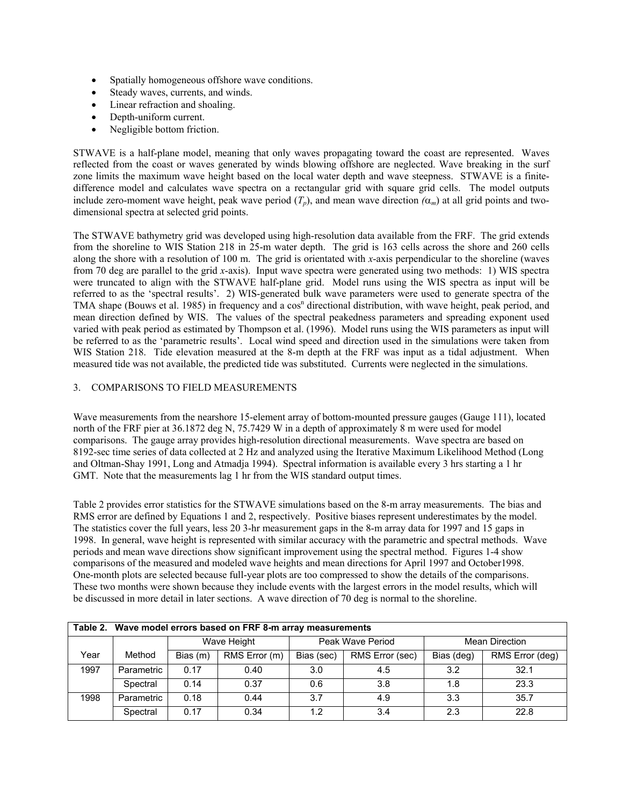- Spatially homogeneous offshore wave conditions.
- Steady waves, currents, and winds.
- Linear refraction and shoaling.
- Depth-uniform current.
- Negligible bottom friction.

STWAVE is a half-plane model, meaning that only waves propagating toward the coast are represented. Waves reflected from the coast or waves generated by winds blowing offshore are neglected. Wave breaking in the surf zone limits the maximum wave height based on the local water depth and wave steepness. STWAVE is a finitedifference model and calculates wave spectra on a rectangular grid with square grid cells. The model outputs include zero-moment wave height, peak wave period  $(T_p)$ , and mean wave direction  $(\alpha_m)$  at all grid points and twodimensional spectra at selected grid points.

The STWAVE bathymetry grid was developed using high-resolution data available from the FRF. The grid extends from the shoreline to WIS Station 218 in 25-m water depth. The grid is 163 cells across the shore and 260 cells along the shore with a resolution of 100 m. The grid is orientated with *x*-axis perpendicular to the shoreline (waves from 70 deg are parallel to the grid *x*-axis). Input wave spectra were generated using two methods: 1) WIS spectra were truncated to align with the STWAVE half-plane grid. Model runs using the WIS spectra as input will be referred to as the 'spectral results'. 2) WIS-generated bulk wave parameters were used to generate spectra of the TMA shape (Bouws et al. 1985) in frequency and a cos<sup>n</sup> directional distribution, with wave height, peak period, and mean direction defined by WIS. The values of the spectral peakedness parameters and spreading exponent used varied with peak period as estimated by Thompson et al. (1996). Model runs using the WIS parameters as input will be referred to as the 'parametric results'. Local wind speed and direction used in the simulations were taken from WIS Station 218. Tide elevation measured at the 8-m depth at the FRF was input as a tidal adjustment. When measured tide was not available, the predicted tide was substituted. Currents were neglected in the simulations.

# 3. COMPARISONS TO FIELD MEASUREMENTS

Wave measurements from the nearshore 15-element array of bottom-mounted pressure gauges (Gauge 111), located north of the FRF pier at 36.1872 deg N, 75.7429 W in a depth of approximately 8 m were used for model comparisons. The gauge array provides high-resolution directional measurements. Wave spectra are based on 8192-sec time series of data collected at 2 Hz and analyzed using the Iterative Maximum Likelihood Method (Long and Oltman-Shay 1991, Long and Atmadja 1994). Spectral information is available every 3 hrs starting a 1 hr GMT. Note that the measurements lag 1 hr from the WIS standard output times.

Table 2 provides error statistics for the STWAVE simulations based on the 8-m array measurements. The bias and RMS error are defined by Equations 1 and 2, respectively. Positive biases represent underestimates by the model. The statistics cover the full years, less 20 3-hr measurement gaps in the 8-m array data for 1997 and 15 gaps in 1998. In general, wave height is represented with similar accuracy with the parametric and spectral methods. Wave periods and mean wave directions show significant improvement using the spectral method. Figures 1-4 show comparisons of the measured and modeled wave heights and mean directions for April 1997 and October1998. One-month plots are selected because full-year plots are too compressed to show the details of the comparisons. These two months were shown because they include events with the largest errors in the model results, which will be discussed in more detail in later sections. A wave direction of 70 deg is normal to the shoreline.

|      | Table 2. Wave model errors based on FRF 8-m array measurements |             |               |                  |                 |                       |                 |  |
|------|----------------------------------------------------------------|-------------|---------------|------------------|-----------------|-----------------------|-----------------|--|
|      |                                                                | Wave Height |               | Peak Wave Period |                 | <b>Mean Direction</b> |                 |  |
| Year | Method                                                         | Bias (m)    | RMS Error (m) | Bias (sec)       | RMS Error (sec) | Bias (deg)            | RMS Error (deg) |  |
| 1997 | Parametric                                                     | 0.17        | 0.40          | 3.0              | 4.5             | 3.2                   | 32.1            |  |
|      | Spectral                                                       | 0.14        | 0.37          | 0.6              | 3.8             | 1.8                   | 23.3            |  |
| 1998 | Parametric                                                     | 0.18        | 0.44          | 3.7              | 4.9             | 3.3                   | 35.7            |  |
|      | Spectral                                                       | 0.17        | 0.34          | 1.2              | 3.4             | 2.3                   | 22.8            |  |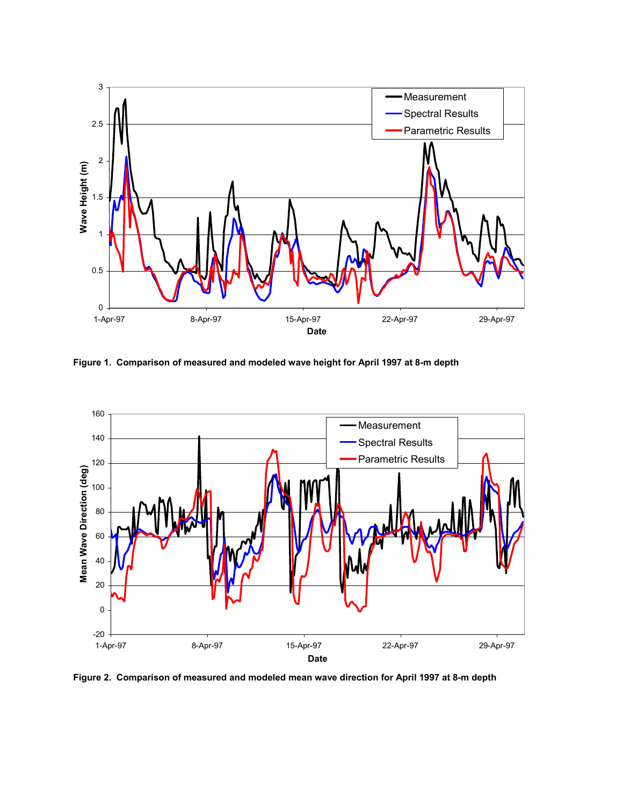

**Figure 1. Comparison of measured and modeled wave height for April 1997 at 8-m depth** 



**Figure 2. Comparison of measured and modeled mean wave direction for April 1997 at 8-m depth**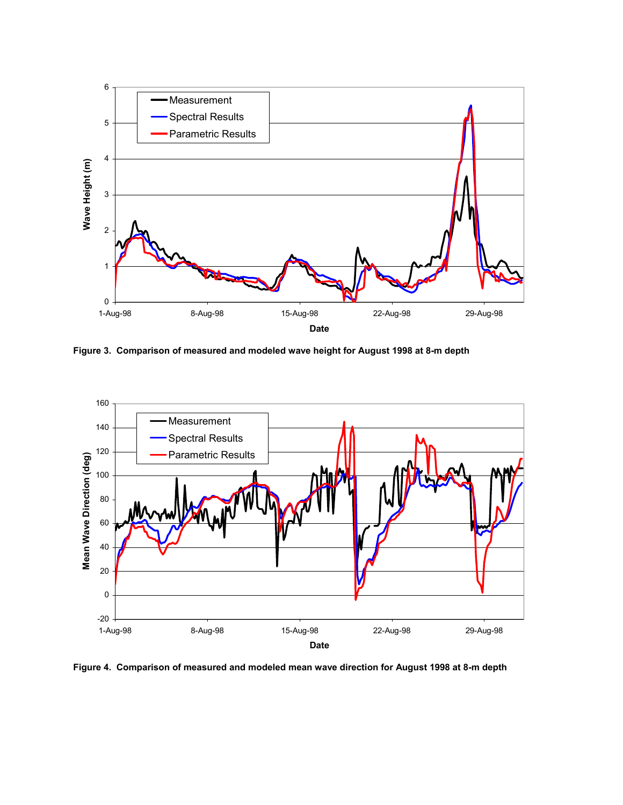

**Figure 3. Comparison of measured and modeled wave height for August 1998 at 8-m depth** 



**Figure 4. Comparison of measured and modeled mean wave direction for August 1998 at 8-m depth**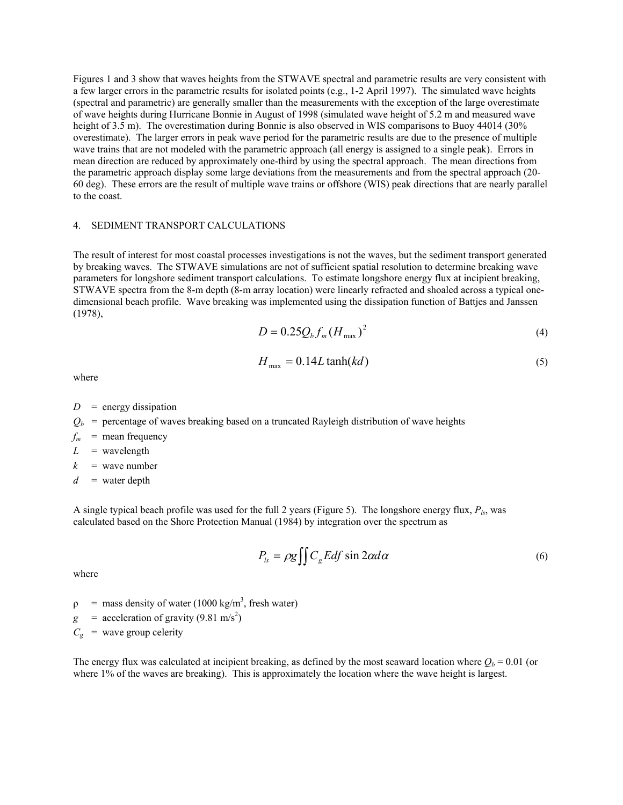Figures 1 and 3 show that waves heights from the STWAVE spectral and parametric results are very consistent with a few larger errors in the parametric results for isolated points (e.g., 1-2 April 1997). The simulated wave heights (spectral and parametric) are generally smaller than the measurements with the exception of the large overestimate of wave heights during Hurricane Bonnie in August of 1998 (simulated wave height of 5.2 m and measured wave height of 3.5 m). The overestimation during Bonnie is also observed in WIS comparisons to Buoy 44014 (30%) overestimate). The larger errors in peak wave period for the parametric results are due to the presence of multiple wave trains that are not modeled with the parametric approach (all energy is assigned to a single peak). Errors in mean direction are reduced by approximately one-third by using the spectral approach. The mean directions from the parametric approach display some large deviations from the measurements and from the spectral approach (20- 60 deg). These errors are the result of multiple wave trains or offshore (WIS) peak directions that are nearly parallel to the coast.

#### 4. SEDIMENT TRANSPORT CALCULATIONS

The result of interest for most coastal processes investigations is not the waves, but the sediment transport generated by breaking waves. The STWAVE simulations are not of sufficient spatial resolution to determine breaking wave parameters for longshore sediment transport calculations. To estimate longshore energy flux at incipient breaking, STWAVE spectra from the 8-m depth (8-m array location) were linearly refracted and shoaled across a typical onedimensional beach profile. Wave breaking was implemented using the dissipation function of Battjes and Janssen (1978),

$$
D = 0.25 Q_b f_m (H_{\text{max}})^2
$$
 (4)

$$
H_{\text{max}} = 0.14L \tanh(kd) \tag{5}
$$

where

- $D =$  energy dissipation
- $Q_b$  = percentage of waves breaking based on a truncated Rayleigh distribution of wave heights
- $f_m$  = mean frequency
- $L =$  wavelength
- $k =$  wave number
- $d =$  water depth

A single typical beach profile was used for the full 2 years (Figure 5). The longshore energy flux,  $P_{ls}$ , was calculated based on the Shore Protection Manual (1984) by integration over the spectrum as

$$
P_{ls} = \rho g \iint C_g E df \sin 2\alpha d\alpha \tag{6}
$$

where

- $\rho$  = mass density of water (1000 kg/m<sup>3</sup>, fresh water)
- $g =$  acceleration of gravity (9.81 m/s<sup>2</sup>)

 $C_g$  = wave group celerity

The energy flux was calculated at incipient breaking, as defined by the most seaward location where  $O_b = 0.01$  (or where 1% of the waves are breaking). This is approximately the location where the wave height is largest.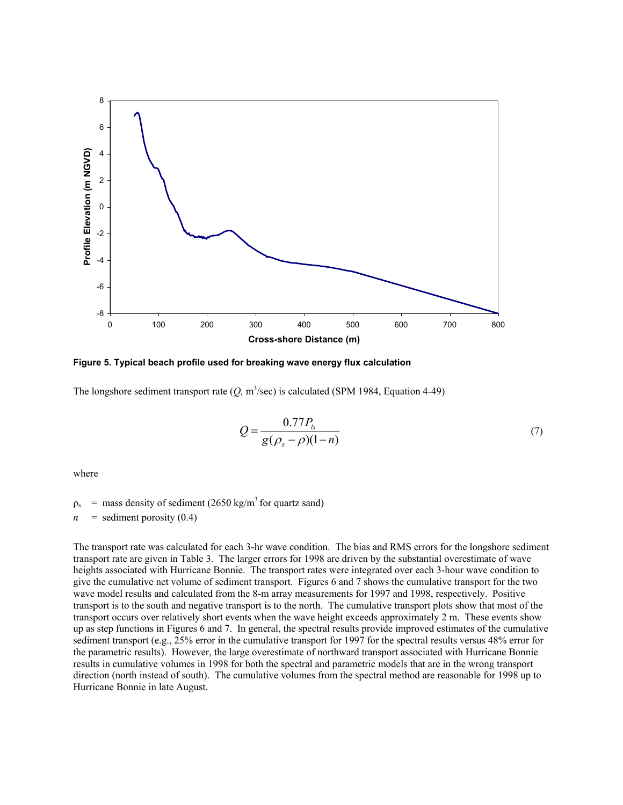

**Figure 5. Typical beach profile used for breaking wave energy flux calculation**

The longshore sediment transport rate  $(Q, m^3/\text{sec})$  is calculated (SPM 1984, Equation 4-49)

$$
Q = \frac{0.77 P_{ls}}{g(\rho_s - \rho)(1 - n)}
$$
(7)

where

 $\rho_s$  = mass density of sediment (2650 kg/m<sup>3</sup> for quartz sand)

 $n =$  sediment porosity (0.4)

The transport rate was calculated for each 3-hr wave condition. The bias and RMS errors for the longshore sediment transport rate are given in Table 3. The larger errors for 1998 are driven by the substantial overestimate of wave heights associated with Hurricane Bonnie. The transport rates were integrated over each 3-hour wave condition to give the cumulative net volume of sediment transport. Figures 6 and 7 shows the cumulative transport for the two wave model results and calculated from the 8-m array measurements for 1997 and 1998, respectively. Positive transport is to the south and negative transport is to the north. The cumulative transport plots show that most of the transport occurs over relatively short events when the wave height exceeds approximately 2 m. These events show up as step functions in Figures 6 and 7. In general, the spectral results provide improved estimates of the cumulative sediment transport (e.g., 25% error in the cumulative transport for 1997 for the spectral results versus 48% error for the parametric results). However, the large overestimate of northward transport associated with Hurricane Bonnie results in cumulative volumes in 1998 for both the spectral and parametric models that are in the wrong transport direction (north instead of south). The cumulative volumes from the spectral method are reasonable for 1998 up to Hurricane Bonnie in late August.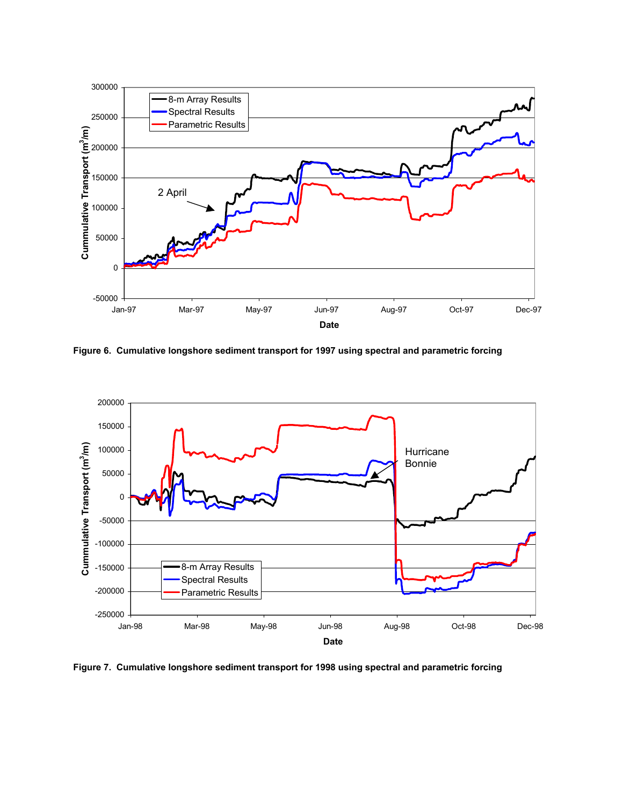

**Figure 6. Cumulative longshore sediment transport for 1997 using spectral and parametric forcing** 



**Figure 7. Cumulative longshore sediment transport for 1998 using spectral and parametric forcing**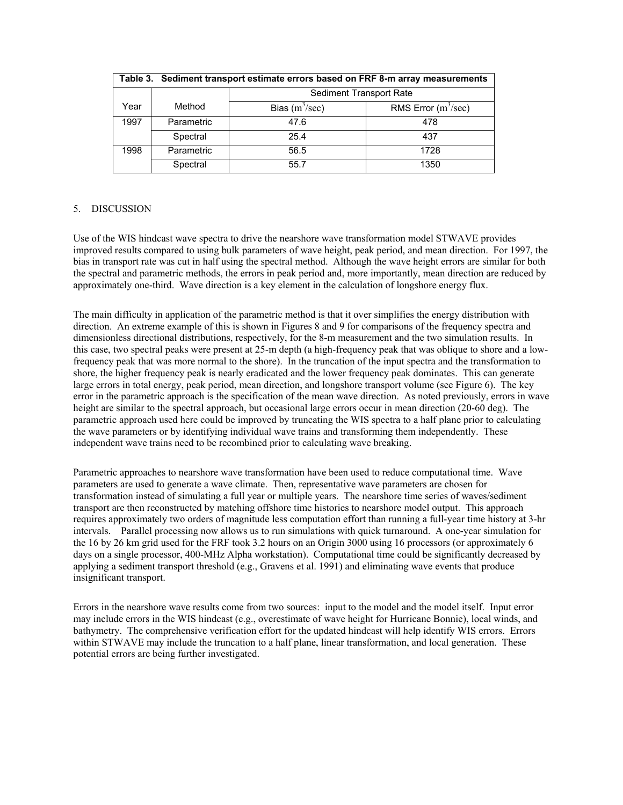|      | Table 3. Sediment transport estimate errors based on FRF 8-m array measurements |                         |                       |  |  |  |
|------|---------------------------------------------------------------------------------|-------------------------|-----------------------|--|--|--|
|      |                                                                                 | Sediment Transport Rate |                       |  |  |  |
| Year | Method                                                                          | Bias $(m^3/sec)$        | RMS Error $(m^3/sec)$ |  |  |  |
| 1997 | Parametric                                                                      | 47.6                    | 478                   |  |  |  |
|      | Spectral                                                                        | 25.4                    | 437                   |  |  |  |
| 1998 | Parametric                                                                      | 56.5                    | 1728                  |  |  |  |
|      | Spectral                                                                        | 55.7                    | 1350                  |  |  |  |

# 5. DISCUSSION

Use of the WIS hindcast wave spectra to drive the nearshore wave transformation model STWAVE provides improved results compared to using bulk parameters of wave height, peak period, and mean direction. For 1997, the bias in transport rate was cut in half using the spectral method. Although the wave height errors are similar for both the spectral and parametric methods, the errors in peak period and, more importantly, mean direction are reduced by approximately one-third. Wave direction is a key element in the calculation of longshore energy flux.

The main difficulty in application of the parametric method is that it over simplifies the energy distribution with direction. An extreme example of this is shown in Figures 8 and 9 for comparisons of the frequency spectra and dimensionless directional distributions, respectively, for the 8-m measurement and the two simulation results. In this case, two spectral peaks were present at 25-m depth (a high-frequency peak that was oblique to shore and a lowfrequency peak that was more normal to the shore). In the truncation of the input spectra and the transformation to shore, the higher frequency peak is nearly eradicated and the lower frequency peak dominates. This can generate large errors in total energy, peak period, mean direction, and longshore transport volume (see Figure 6). The key error in the parametric approach is the specification of the mean wave direction. As noted previously, errors in wave height are similar to the spectral approach, but occasional large errors occur in mean direction (20-60 deg). The parametric approach used here could be improved by truncating the WIS spectra to a half plane prior to calculating the wave parameters or by identifying individual wave trains and transforming them independently. These independent wave trains need to be recombined prior to calculating wave breaking.

Parametric approaches to nearshore wave transformation have been used to reduce computational time. Wave parameters are used to generate a wave climate. Then, representative wave parameters are chosen for transformation instead of simulating a full year or multiple years. The nearshore time series of waves/sediment transport are then reconstructed by matching offshore time histories to nearshore model output. This approach requires approximately two orders of magnitude less computation effort than running a full-year time history at 3-hr intervals. Parallel processing now allows us to run simulations with quick turnaround. A one-year simulation for the 16 by 26 km grid used for the FRF took 3.2 hours on an Origin 3000 using 16 processors (or approximately 6 days on a single processor, 400-MHz Alpha workstation). Computational time could be significantly decreased by applying a sediment transport threshold (e.g., Gravens et al. 1991) and eliminating wave events that produce insignificant transport.

Errors in the nearshore wave results come from two sources: input to the model and the model itself. Input error may include errors in the WIS hindcast (e.g., overestimate of wave height for Hurricane Bonnie), local winds, and bathymetry. The comprehensive verification effort for the updated hindcast will help identify WIS errors. Errors within STWAVE may include the truncation to a half plane, linear transformation, and local generation. These potential errors are being further investigated.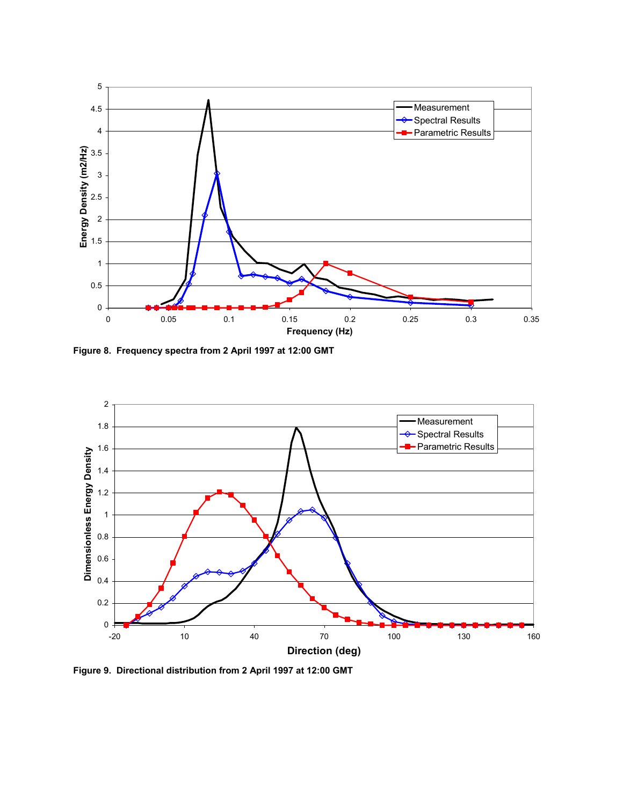

**Figure 8. Frequency spectra from 2 April 1997 at 12:00 GMT**



**Figure 9. Directional distribution from 2 April 1997 at 12:00 GMT**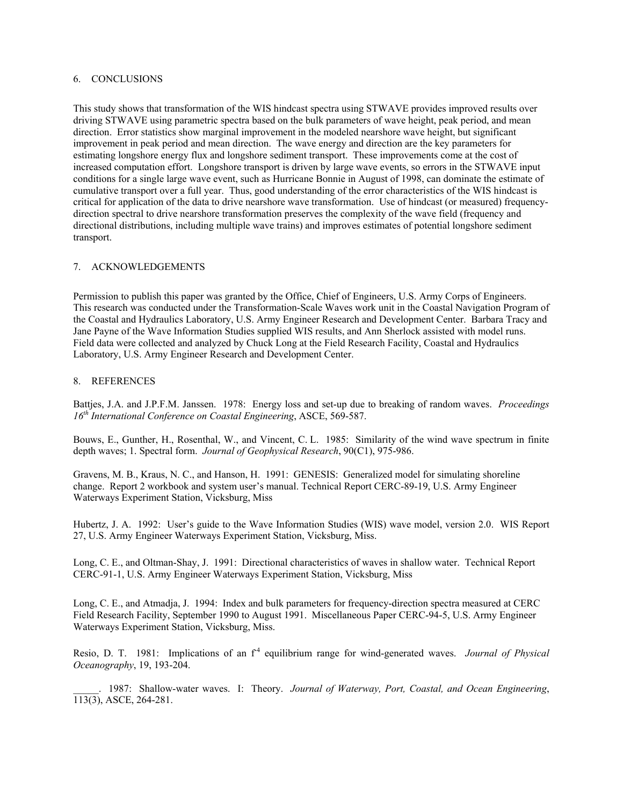## 6. CONCLUSIONS

This study shows that transformation of the WIS hindcast spectra using STWAVE provides improved results over driving STWAVE using parametric spectra based on the bulk parameters of wave height, peak period, and mean direction. Error statistics show marginal improvement in the modeled nearshore wave height, but significant improvement in peak period and mean direction. The wave energy and direction are the key parameters for estimating longshore energy flux and longshore sediment transport. These improvements come at the cost of increased computation effort. Longshore transport is driven by large wave events, so errors in the STWAVE input conditions for a single large wave event, such as Hurricane Bonnie in August of 1998, can dominate the estimate of cumulative transport over a full year. Thus, good understanding of the error characteristics of the WIS hindcast is critical for application of the data to drive nearshore wave transformation. Use of hindcast (or measured) frequencydirection spectral to drive nearshore transformation preserves the complexity of the wave field (frequency and directional distributions, including multiple wave trains) and improves estimates of potential longshore sediment transport.

## 7. ACKNOWLEDGEMENTS

Permission to publish this paper was granted by the Office, Chief of Engineers, U.S. Army Corps of Engineers. This research was conducted under the Transformation-Scale Waves work unit in the Coastal Navigation Program of the Coastal and Hydraulics Laboratory, U.S. Army Engineer Research and Development Center. Barbara Tracy and Jane Payne of the Wave Information Studies supplied WIS results, and Ann Sherlock assisted with model runs. Field data were collected and analyzed by Chuck Long at the Field Research Facility, Coastal and Hydraulics Laboratory, U.S. Army Engineer Research and Development Center.

## 8. REFERENCES

Battjes, J.A. and J.P.F.M. Janssen. 1978: Energy loss and set-up due to breaking of random waves. *Proceedings 16th International Conference on Coastal Engineering*, ASCE, 569-587.

Bouws, E., Gunther, H., Rosenthal, W., and Vincent, C. L. 1985: Similarity of the wind wave spectrum in finite depth waves; 1. Spectral form. *Journal of Geophysical Research*, 90(C1), 975-986.

Gravens, M. B., Kraus, N. C., and Hanson, H. 1991: GENESIS: Generalized model for simulating shoreline change. Report 2 workbook and system user's manual. Technical Report CERC-89-19, U.S. Army Engineer Waterways Experiment Station, Vicksburg, Miss

Hubertz, J. A. 1992: User's guide to the Wave Information Studies (WIS) wave model, version 2.0. WIS Report 27, U.S. Army Engineer Waterways Experiment Station, Vicksburg, Miss.

Long, C. E., and Oltman-Shay, J. 1991: Directional characteristics of waves in shallow water. Technical Report CERC-91-1, U.S. Army Engineer Waterways Experiment Station, Vicksburg, Miss

Long, C. E., and Atmadja, J. 1994: Index and bulk parameters for frequency-direction spectra measured at CERC Field Research Facility, September 1990 to August 1991. Miscellaneous Paper CERC-94-5, U.S. Army Engineer Waterways Experiment Station, Vicksburg, Miss.

Resio, D. T. 1981: Implications of an f<sup>4</sup> equilibrium range for wind-generated waves. *Journal of Physical Oceanography*, 19, 193-204.

\_\_\_\_\_. 1987: Shallow-water waves. I: Theory. *Journal of Waterway, Port, Coastal, and Ocean Engineering*, 113(3), ASCE, 264-281.